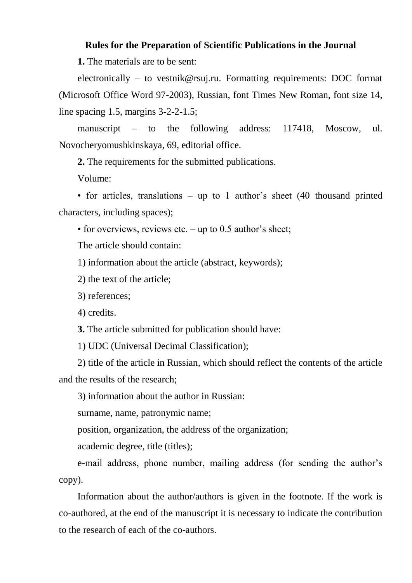# **Rules for the Preparation of Scientific Publications in the Journal**

**1.** The materials are to be sent:

electronically – to vestnik@rsuj.ru. Formatting requirements: DOC format (Microsoft Office Word 97-2003), Russian, font Times New Roman, font size 14, line spacing 1.5, margins 3-2-2-1.5;

manuscript – to the following address: 117418, Moscow, ul. Novocheryomushkinskaya, 69, editorial office.

**2.** The requirements for the submitted publications.

Volume:

• for articles, translations – up to 1 author's sheet (40 thousand printed characters, including spaces);

• for overviews, reviews etc. – up to 0.5 author's sheet;

The article should contain:

1) information about the article (abstract, keywords);

2) the text of the article;

3) references;

4) credits.

**3.** The article submitted for publication should have:

1) UDC (Universal Decimal Classification);

2) title of the article in Russian, which should reflect the contents of the article and the results of the research;

3) information about the author in Russian:

surname, name, patronymic name;

position, organization, the address of the organization;

academic degree, title (titles);

e-mail address, phone number, mailing address (for sending the author's copy).

Information about the author/authors is given in the footnote. If the work is co-authored, at the end of the manuscript it is necessary to indicate the contribution to the research of each of the co-authors.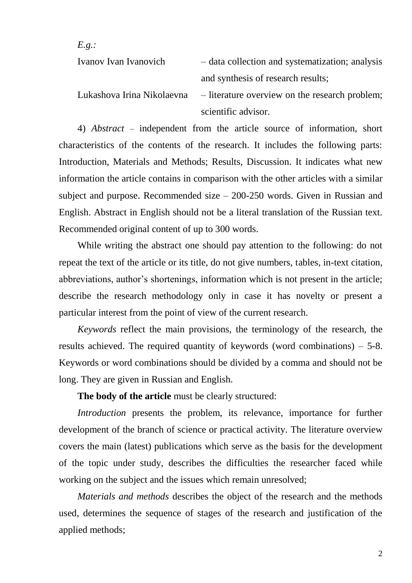| E.g.:                      |                                                 |
|----------------------------|-------------------------------------------------|
| Ivanov Ivan Ivanovich      | - data collection and systematization; analysis |
|                            | and synthesis of research results;              |
| Lukashova Irina Nikolaevna | - literature overview on the research problem;  |
|                            | scientific advisor.                             |

4) *Abstract* – independent from the article source of information, short characteristics of the contents of the research. It includes the following parts: Introduction, Materials and Methods; Results, Discussion. It indicates what new information the article contains in comparison with the other articles with a similar subject and purpose. Recommended size – 200-250 words. Given in Russian and English. Abstract in English should not be a literal translation of the Russian text. Recommended original content of up to 300 words.

While writing the abstract one should pay attention to the following: do not repeat the text of the article or its title, do not give numbers, tables, in-text citation, abbreviations, author's shortenings, information which is not present in the article; describe the research methodology only in case it has novelty or present a particular interest from the point of view of the current research.

*Keywords* reflect the main provisions, the terminology of the research, the results achieved. The required quantity of keywords (word combinations) – 5-8. Keywords or word combinations should be divided by a comma and should not be long. They are given in Russian and English.

**The body of the article** must be clearly structured:

*Introduction* presents the problem, its relevance, importance for further development of the branch of science or practical activity. The literature overview covers the main (latest) publications which serve as the basis for the development of the topic under study, describes the difficulties the researcher faced while working on the subject and the issues which remain unresolved;

*Materials and methods* describes the object of the research and the methods used, determines the sequence of stages of the research and justification of the applied methods;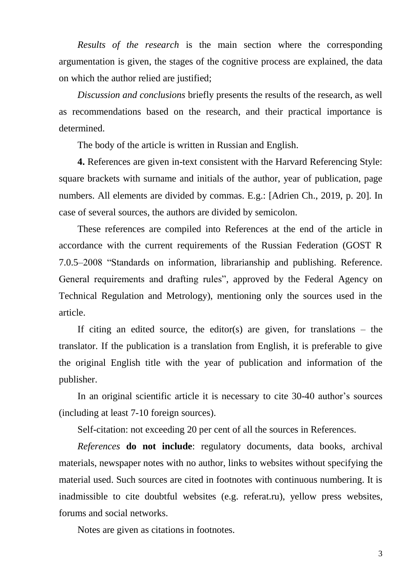*Results of the research* is the main section where the corresponding argumentation is given, the stages of the cognitive process are explained, the data on which the author relied are justified;

*Discussion and conclusions* briefly presents the results of the research, as well as recommendations based on the research, and their practical importance is determined.

The body of the article is written in Russian and English.

**4.** References are given in-text consistent with the Harvard Referencing Style: square brackets with surname and initials of the author, year of publication, page numbers. All elements are divided by commas. E.g.: [Adrien Ch., 2019, p. 20]. In case of several sources, the authors are divided by semicolon.

These references are compiled into References at the end of the article in accordance with the current requirements of the Russian Federation (GOST R 7.0.5–2008 "Standards on information, librarianship and publishing. Reference. General requirements and drafting rules", approved by the Federal Agency on Technical Regulation and Metrology), mentioning only the sources used in the article.

If citing an edited source, the editor(s) are given, for translations – the translator. If the publication is a translation from English, it is preferable to give the original English title with the year of publication and information of the publisher.

In an original scientific article it is necessary to cite 30-40 author's sources (including at least 7-10 foreign sources).

Self-citation: not exceeding 20 per cent of all the sources in References.

*References* **do not include**: regulatory documents, data books, archival materials, newspaper notes with no author, links to websites without specifying the material used. Such sources are cited in footnotes with continuous numbering. It is inadmissible to cite doubtful websites (e.g. referat.ru), yellow press websites, forums and social networks.

Notes are given as citations in footnotes.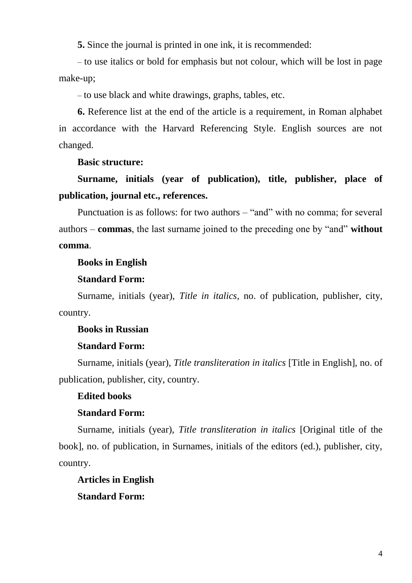**5.** Since the journal is printed in one ink, it is recommended:

– to use italics or bold for emphasis but not colour, which will be lost in page make-up;

– to use black and white drawings, graphs, tables, etc.

**6.** Reference list at the end of the article is a requirement, in Roman alphabet in accordance with the Harvard Referencing Style. English sources are not changed.

**Basic structure:**

**Surname, initials (year of publication), title, publisher, place of publication, journal etc., references.**

Punctuation is as follows: for two authors – "and" with no comma; for several authors – **commas**, the last surname joined to the preceding one by "and" **without comma**.

### **Books in English**

## **Standard Form:**

Surname, initials (year), *Title in italics,* no. of publication, publisher, city, country.

### **Books in Russian**

### **Standard Form:**

Surname, initials (year), *Title transliteration in italics* [Title in English], no. of publication, publisher, city, country.

### **Edited books**

### **Standard Form:**

Surname, initials (year), *Title transliteration in italics* [Original title of the book], no. of publication, in Surnames, initials of the editors (ed.), publisher, city, country.

**Articles in English**

**Standard Form:**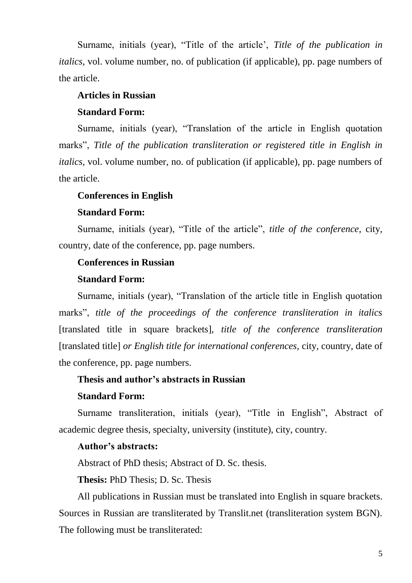Surname, initials (year), "Title of the article', *Title of the publication in italics,* vol. volume number, no. of publication (if applicable), pp. page numbers of the article.

# **Articles in Russian**

## **Standard Form:**

Surname, initials (year), "Translation of the article in English quotation marks", *Title of the publication transliteration or registered title in English in italics,* vol. volume number, no. of publication (if applicable), pp. page numbers of the article.

### **Conferences in English**

### **Standard Form:**

Surname, initials (year), "Title of the article", *title of the conference,* city, country, date of the conference, pp. page numbers.

# **Conferences in Russian**

#### **Standard Form:**

Surname, initials (year), "Translation of the article title in English quotation marks", *title of the proceedings of the conference transliteration in italics*  [translated title in square brackets], *title of the conference transliteration*  [translated title] *or English title for international conferences,* city, country, date of the conference, pp. page numbers.

### **Thesis and author's abstracts in Russian**

### **Standard Form:**

Surname transliteration, initials (year), "Title in English", Abstract of academic degree thesis, specialty, university (institute), city, country.

### **Author's abstracts:**

Abstract of PhD thesis; Abstract of D. Sc. thesis.

**Thesis:** PhD Thesis; D. Sc. Thesis

All publications in Russian must be translated into English in square brackets. Sources in Russian are transliterated by Translit.net (transliteration system BGN). The following must be transliterated: